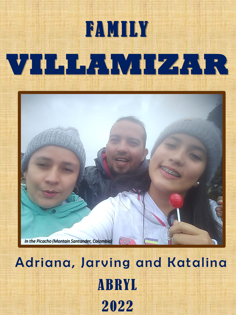

## Adriana, Jarving and Katalina **ABRYL** 2022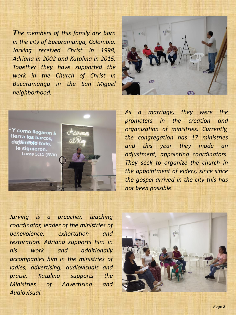*The members of this family are born in the city of Bucaramanga, Colombia. Jarving received Christ in 1998, Adriana in 2002 and Katalina in 2015. Together they have supported the work in the Church of Christ in Bucaramanga in the San Miguel neighborhood.*





*As a marriage, they were the promoters in the creation and organization of ministries. Currently, the congregation has 17 ministries and this year they made an adjustment, appointing coordinators. They seek to organize the church in the appointment of elders, since since the gospel arrived in the city this has not been possible.*

*Jarving is a preacher, teaching coordinator, leader of the ministries of benevolence, exhortation and restoration. Adriana supports him in his work and additionally accompanies him in the ministries of ladies, advertising, audiovisuals and praise. Katalina supports the Ministries of Advertising and Audiovisual.*

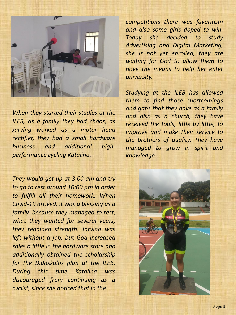

*When they started their studies at the ILEB, as a family they had chaos, as Jarving worked as a motor head rectifier, they had a small hardware business and additional highperformance cycling Katalina.*

*They would get up at 3:00 am and try to go to rest around 10:00 pm in order to fulfill all their homework. When Covid-19 arrived, it was a blessing as a family, because they managed to rest, what they wanted for several years, they regained strength. Jarving was left without a job, but God increased sales a little in the hardware store and additionally obtained the scholarship for the Didaskalos plan at the ILEB. During this time Katalina was discouraged from continuing as a cyclist, since she noticed that in the*

*competitions there was favoritism and also some girls doped to win. Today she decided to study Advertising and Digital Marketing, she is not yet enrolled, they are waiting for God to allow them to have the means to help her enter university.*

*Studying at the ILEB has allowed them to find those shortcomings and gaps that they have as a family and also as a church, they have received the tools, little by little, to improve and make their service to the brothers of quality. They have managed to grow in spirit and knowledge.*